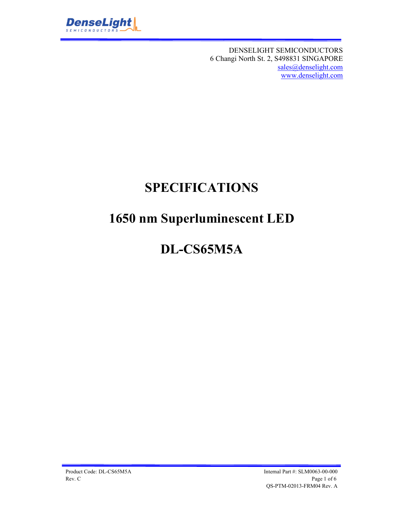

DENSELIGHT SEMICONDUCTORS 6 Changi North St. 2, S498831 SINGAPORE sales@denselight.com www.denselight.com

## **SPECIFICATIONS**

# **1650 nm Superluminescent LED**

## **DL-CS65M5A**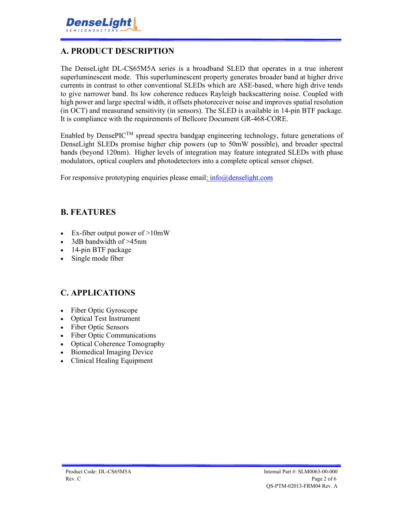

### **A. PRODUCT DESCRIPTION**

The DenseLight DL-CS65M5A series is a broadband SLED that operates in a true inherent superluminescent mode. This superluminescent property generates broader band at higher drive currents in contrast to other conventional SLEDs which are ASE-based, where high drive tends to give narrower band. Its low coherence reduces Rayleigh backscattering noise. Coupled with high power and large spectral width, it offsets photoreceiver noise and improves spatial resolution (in OCT) and measurand sensitivity (in sensors). The SLED is available in 14-pin BTF package. It is compliance with the requirements of Bellcore Document GR-468-CORE.

Enabled by DensePIC<sup>TM</sup> spread spectra bandgap engineering technology, future generations of DenseLight SLEDs promise higher chip powers (up to 50mW possible), and broader spectral bands (beyond 120nm). Higher levels of integration may feature integrated SLEDs with phase modulators, optical couplers and photodetectors into a complete optical sensor chipset.

For responsive prototyping enquiries please email: info@denselight.com

#### **B. FEATURES**

- Ex-fiber output power of  $>10$ mW
- 3dB bandwidth of >45nm
- 14-pin BTF package
- Single mode fiber

#### **C. APPLICATIONS**

- Fiber Optic Gyroscope
- Optical Test Instrument
- Fiber Optic Sensors
- Fiber Optic Communications
- Optical Coherence Tomography
- Biomedical Imaging Device
- Clinical Healing Equipment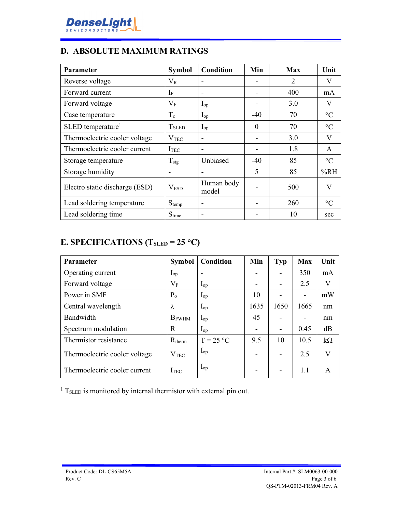

## **D. ABSOLUTE MAXIMUM RATINGS**

| Parameter                      | <b>Symbol</b>            | Condition                | Min                      | Max | Unit            |
|--------------------------------|--------------------------|--------------------------|--------------------------|-----|-----------------|
| Reverse voltage                | $V_{R}$                  |                          |                          | 2   | V               |
| Forward current                | If                       |                          |                          | 400 | mA              |
| Forward voltage                | $V_{\rm F}$              | $I_{op}$                 | $\overline{\phantom{a}}$ | 3.0 | V               |
| Case temperature               | $T_c$                    | $I_{op}$                 | $-40$                    | 70  | $\rm ^{\circ}C$ |
| SLED temperature <sup>1</sup>  | <b>T</b> <sub>SLED</sub> | $I_{op}$                 | $\theta$                 | 70  | $\rm ^{\circ}C$ |
| Thermoelectric cooler voltage  | $\rm V_{TEC}$            |                          |                          | 3.0 | V               |
| Thermoelectric cooler current  | ITEC                     |                          |                          | 1.8 | $\mathsf{A}$    |
| Storage temperature            | $T_{\text{stg}}$         | Unbiased                 | $-40$                    | 85  | $\rm ^{\circ}C$ |
| Storage humidity               |                          |                          | 5                        | 85  | %RH             |
| Electro static discharge (ESD) | V <sub>ESD</sub>         | Human body<br>model      |                          | 500 | V               |
| Lead soldering temperature     | $S_{temp}$               |                          |                          | 260 | $\rm ^{\circ}C$ |
| Lead soldering time            | $S_{time}$               | $\overline{\phantom{a}}$ |                          | 10  | sec             |

## **E. SPECIFICATIONS (TSLED = 25 C)**

| Parameter                     | <b>Symbol</b> | Condition   | Min                      | <b>Typ</b> | <b>Max</b>               | Unit      |
|-------------------------------|---------------|-------------|--------------------------|------------|--------------------------|-----------|
| Operating current             | $I_{op}$      |             |                          |            | 350                      | mA        |
| Forward voltage               | $V_F$         | $I_{op}$    | $\overline{\phantom{0}}$ |            | 2.5                      | V         |
| Power in SMF                  | $P_{o}$       | $I_{op}$    | 10                       |            | $\overline{\phantom{a}}$ | mW        |
| Central wavelength            | λ             | $I_{op}$    | 1635                     | 1650       | 1665                     | nm        |
| Bandwidth                     | <b>B</b> FWHM | $I_{op}$    | 45                       |            |                          | nm        |
| Spectrum modulation           | R             | $I_{op}$    | $\overline{\phantom{0}}$ |            | 0.45                     | dB        |
| Thermistor resistance         | $R_{therm}$   | $T = 25 °C$ | 9.5                      | 10         | 10.5                     | $k\Omega$ |
| Thermoelectric cooler voltage | $V_{\rm TEC}$ | $I_{op}$    |                          |            | 2.5                      | V         |
| Thermoelectric cooler current | ITEC          | $I_{op}$    | $\overline{\phantom{0}}$ |            | 1.1                      | A         |

 $1$  T<sub>SLED</sub> is monitored by internal thermistor with external pin out.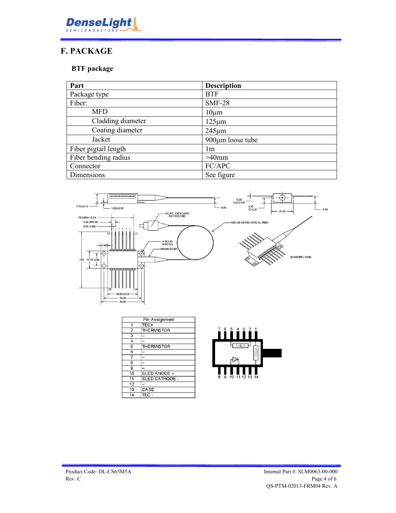

## **F. PACKAGE**

#### **BTF package**

| Part                 | <b>Description</b>     |
|----------------------|------------------------|
| Package type         | <b>BTF</b>             |
| Fiber:               | <b>SMF-28</b>          |
| <b>MFD</b>           | $10 \mu m$             |
| Cladding diameter    | $125 \mu m$            |
| Coating diameter     | $245 \mu m$            |
| Jacket               | $900 \mu m$ loose tube |
| Fiber pigtail length | lm                     |
| Fiber bending radius | $>40$ mm               |
| Connector            | FC/APC                 |
| Dimensions           | See figure             |



| Pin Assignment |                    |  |
|----------------|--------------------|--|
| 1              | TEC+               |  |
| $\overline{2}$ | <b>THE RMISTOR</b> |  |
| 3              |                    |  |
| 4              |                    |  |
| 5              | <b>THE RMISTOR</b> |  |
| 6              |                    |  |
| 7              |                    |  |
| 8              |                    |  |
| 9              |                    |  |
| 10             | SLED ANODE +       |  |
| 11             | SLED CATHODE -     |  |
| 12             |                    |  |
| 13             | CASE               |  |
| 14             | TEC -              |  |

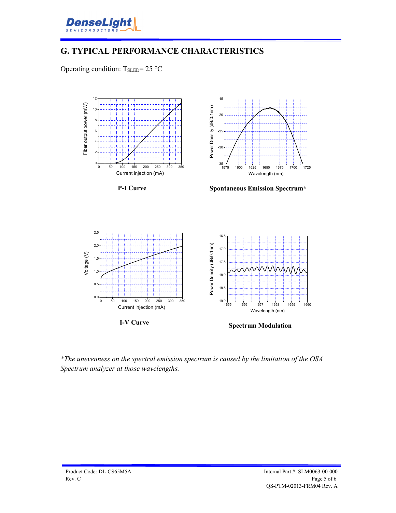

### **G. TYPICAL PERFORMANCE CHARACTERISTICS**

Operating condition:  $T_{SLED} = 25 \degree C$ 



*\*The unevenness on the spectral emission spectrum is caused by the limitation of the OSA Spectrum analyzer at those wavelengths.*